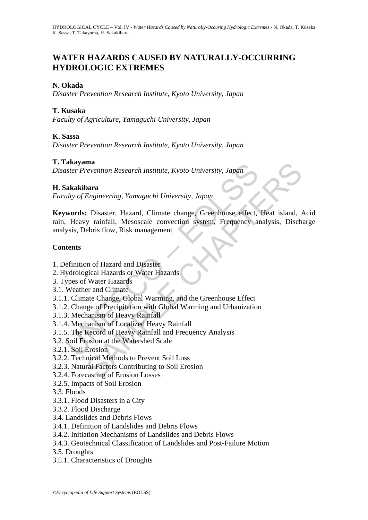# **WATER HAZARDS CAUSED BY NATURALLY-OCCURRING HYDROLOGIC EXTREMES**

## **N. Okada**

*Disaster Prevention Research Institute, Kyoto University, Japan* 

## **T. Kusaka**

*Faculty of Agriculture, Yamaguchi University, Japan* 

## **K. Sassa**

*Disaster Prevention Research Institute, Kyoto University, Japan* 

## **T. Takayama**

*Disaster Prevention Research Institute, Kyoto University, Japan* 

### **H. Sakakibara**

*Faculty of Engineering, Yamaguchi University, Japan* 

akayama<br>
ster Prevention Research Institute, Kyoto University, Japan<br>
sakakibara<br>
sakakibara<br>
sakakibara<br>
sakakibara<br>
sakakibara<br>
sakakibara<br>
sakakibara<br>
sakakibara<br>
sakakibara<br>
sakakibara<br>
sakat University, Japan<br>
sakakib ma<br>
mara<br>
erevention Research Institute, Kyoto University, Japan<br>
Engineering, Yamaguchi University, Japan<br>
: Disaster, Hazard, Climate change, Greenhouse effect, Heat island,<br>
y rainfall, Mesoscale convection system, Freq **Keywords:** Disaster, Hazard, Climate change, Greenhouse effect, Heat island, Acid rain, Heavy rainfall, Mesoscale convection system, Frequency analysis, Discharge analysis, Debris flow, Risk management

## **Contents**

- 1. Definition of Hazard and Disaster
- 2. Hydrological Hazards or Water Hazards
- 3. Types of Water Hazards
- 3.1. Weather and Climate
- 3.1.1. Climate Change, Global Warming, and the Greenhouse Effect
- 3.1.2. Change of Precipitation with Global Warming and Urbanization
- 3.1.3. Mechanism of Heavy Rainfall
- 3.1.4. Mechanism of Localized Heavy Rainfall
- 3.1.5. The Record of Heavy Rainfall and Frequency Analysis
- 3.2. Soil Erosion at the Watershed Scale
- 3.2.1. Soil Erosion
- 3.2.2. Technical Methods to Prevent Soil Loss
- 3.2.3. Natural Factors Contributing to Soil Erosion
- 3.2.4. Forecasting of Erosion Losses
- 3.2.5. Impacts of Soil Erosion
- 3.3. Floods
- 3.3.1. Flood Disasters in a City
- 3.3.2. Flood Discharge
- 3.4. Landslides and Debris Flows
- 3.4.1. Definition of Landslides and Debris Flows
- 3.4.2. Initiation Mechanisms of Landslides and Debris Flows
- 3.4.3. Geotechnical Classification of Landslides and Post-Failure Motion
- 3.5. Droughts
- 3.5.1. Characteristics of Droughts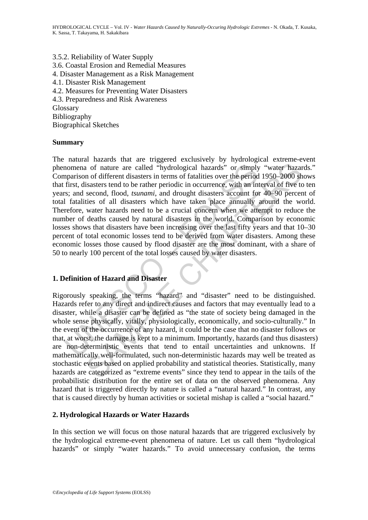3.5.2. Reliability of Water Supply 3.6. Coastal Erosion and Remedial Measures 4. Disaster Management as a Risk Management 4.1. Disaster Risk Management 4.2. Measures for Preventing Water Disasters 4.3. Preparedness and Risk Awareness Glossary Bibliography Biographical Sketches

#### **Summary**

nomena of nature are called "hydrological hazards" or simply<br>parison of different disasters in terms of fatalities over the period<br>first, disasters tend to be rather periodic in occurrence, with an int<br>s; and second, flood and the courrence of any hazard, it could be the case that no disaster follows over the period of the reading shasses tend to be rather periodic in occurrence, with an interval of five to second, flood, *tsunami*, and drou The natural hazards that are triggered exclusively by hydrological extreme-event phenomena of nature are called "hydrological hazards" or simply "water hazards." Comparison of different disasters in terms of fatalities over the period 1950–2000 shows that first, disasters tend to be rather periodic in occurrence, with an interval of five to ten years; and second, flood, *tsunami*, and drought disasters account for 40–90 percent of total fatalities of all disasters which have taken place annually around the world. Therefore, water hazards need to be a crucial concern when we attempt to reduce the number of deaths caused by natural disasters in the world. Comparison by economic losses shows that disasters have been increasing over the last fifty years and that 10–30 percent of total economic losses tend to be derived from water disasters. Among these economic losses those caused by flood disaster are the most dominant, with a share of 50 to nearly 100 percent of the total losses caused by water disasters.

## **1. Definition of Hazard and Disaster**

Rigorously speaking, the terms "hazard" and "disaster" need to be distinguished. Hazards refer to any direct and indirect causes and factors that may eventually lead to a disaster, while a disaster can be defined as "the state of society being damaged in the whole sense physically, vitally, physiologically, economically, and socio-culturally." In the event of the occurrence of any hazard, it could be the case that no disaster follows or that, at worst, the damage is kept to a minimum. Importantly, hazards (and thus disasters) are non-deterministic events that tend to entail uncertainties and unknowns. If mathematically well-formulated, such non-deterministic hazards may well be treated as stochastic events based on applied probability and statistical theories. Statistically, many hazards are categorized as "extreme events" since they tend to appear in the tails of the probabilistic distribution for the entire set of data on the observed phenomena. Any hazard that is triggered directly by nature is called a "natural hazard." In contrast, any that is caused directly by human activities or societal mishap is called a "social hazard."

#### **2. Hydrological Hazards or Water Hazards**

In this section we will focus on those natural hazards that are triggered exclusively by the hydrological extreme-event phenomena of nature. Let us call them "hydrological hazards" or simply "water hazards." To avoid unnecessary confusion, the terms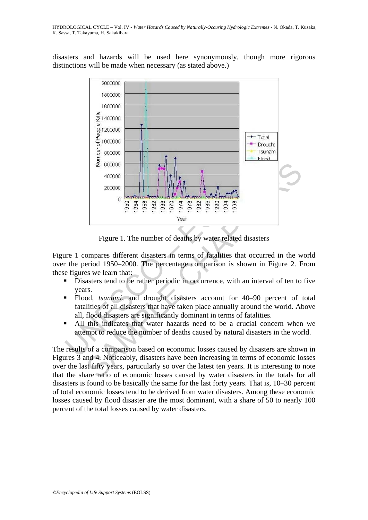disasters and hazards will be used here synonymously, though more rigorous distinctions will be made when necessary (as stated above.)



Figure 1. The number of deaths by water related disasters

Figure 1 compares different disasters in terms of fatalities that occurred in the world over the period 1950–2000. The percentage comparison is shown in Figure 2. From these figures we learn that:

- Disasters tend to be rather periodic in occurrence, with an interval of ten to five years.
- Flood, *tsunami*, and drought disasters account for 40–90 percent of total fatalities of all disasters that have taken place annually around the world. Above all, flood disasters are significantly dominant in terms of fatalities.
- All this indicates that water hazards need to be a crucial concern when we attempt to reduce the number of deaths caused by natural disasters in the world.

The results of a comparison based on economic losses caused by disasters are shown in Figures 3 and 4. Noticeably, disasters have been increasing in terms of economic losses over the last fifty years, particularly so over the latest ten years. It is interesting to note that the share ratio of economic losses caused by water disasters in the totals for all disasters is found to be basically the same for the last forty years. That is, 10–30 percent of total economic losses tend to be derived from water disasters. Among these economic losses caused by flood disaster are the most dominant, with a share of 50 to nearly 100 percent of the total losses caused by water disasters.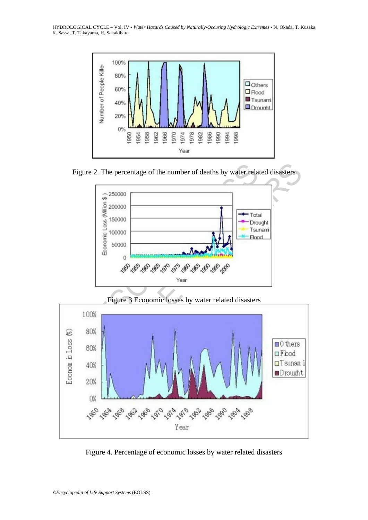HYDROLOGICAL CYCLE – Vol. IV - *Water Hazards Caused by Naturally-Occuring Hydrologic Extremes* - N. Okada, T. Kusaka, K. Sassa, T. Takayama, H. Sakakibara



Figure 2. The percentage of the number of deaths by water related disasters



Figure 3 Economic losses by water related disasters



Figure 4. Percentage of economic losses by water related disasters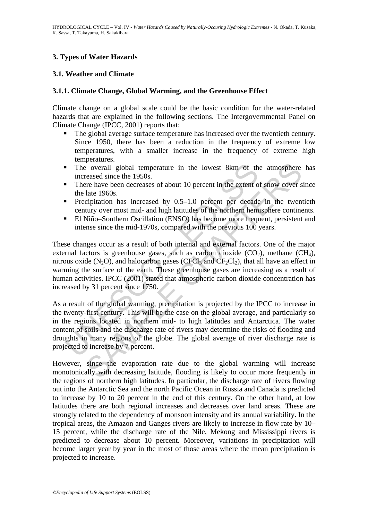## **3. Types of Water Hazards**

### **3.1. Weather and Climate**

#### **3.1.1. Climate Change, Global Warming, and the Greenhouse Effect**

Climate change on a global scale could be the basic condition for the water-related hazards that are explained in the following sections. The Intergovernmental Panel on Climate Change (IPCC, 2001) reports that:

- The global average surface temperature has increased over the twentieth century. Since 1950, there has been a reduction in the frequency of extreme low temperatures, with a smaller increase in the frequency of extreme high temperatures.
- The overall global temperature in the lowest 8km of the atmosphere has increased since the 1950s.
- There have been decreases of about 10 percent in the extent of snow cover since the late 1960s.
- **Precipitation** has increased by  $0.5-1.0$  percent per decade in the twentieth century over most mid- and high latitudes of the northern hemisphere continents.
- El Niño–Southern Oscillation (ENSO) has become more frequent, persistent and intense since the mid-1970s, compared with the previous 100 years.

These changes occur as a result of both internal and external factors. One of the major external factors is greenhouse gases, such as carbon dioxide  $(CO_2)$ , methane  $CH_4$ ), nitrous oxide (N<sub>2</sub>O), and halocarbon gases (CFCl<sub>3</sub> and CF<sub>2</sub>Cl<sub>2</sub>), that all have an effect in warming the surface of the earth. These greenhouse gases are increasing as a result of human activities. IPCC (2001) stated that atmospheric carbon dioxide concentration has increased by 31 percent since 1750.

The overall global temperature in the lowest 8km of the increased since the 1950s.<br>
There have been decreases of about 10 percent in the extent of the late 1960s.<br>
Precipitation has increased by 0.5–1.0 percent per decade is overall global temperature in the lowest 8km of the atmosphere<br>
reased since the 1950s.<br>
reased since the 1950s.<br>
late 1960s.<br>
cipitation has increased by 0.5–1.0 percent per decade in the twent<br>
late 1960s.<br>
cipitation As a result of the global warming, precipitation is projected by the IPCC to increase in the twenty-first century. This will be the case on the global average, and particularly so in the regions located in northern mid- to high latitudes and Antarctica. The water content of soils and the discharge rate of rivers may determine the risks of flooding and droughts in many regions of the globe. The global average of river discharge rate is projected to increase by 7 percent.

However, since the evaporation rate due to the global warming will increase monotonically with decreasing latitude, flooding is likely to occur more frequently in the regions of northern high latitudes. In particular, the discharge rate of rivers flowing out into the Antarctic Sea and the north Pacific Ocean in Russia and Canada is predicted to increase by 10 to 20 percent in the end of this century. On the other hand, at low latitudes there are both regional increases and decreases over land areas. These are strongly related to the dependency of monsoon intensity and its annual variability. In the tropical areas, the Amazon and Ganges rivers are likely to increase in flow rate by 10– 15 percent, while the discharge rate of the Nile, Mekong and Mississippi rivers is predicted to decrease about 10 percent. Moreover, variations in precipitation will become larger year by year in the most of those areas where the mean precipitation is projected to increase.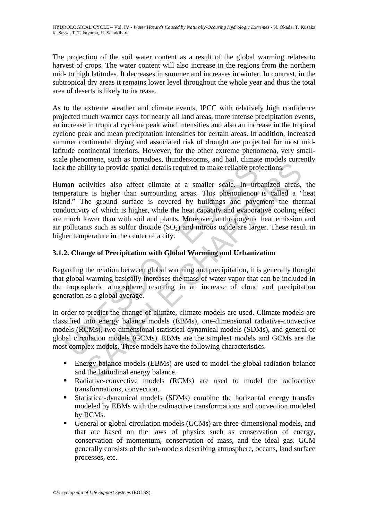The projection of the soil water content as a result of the global warming relates to harvest of crops. The water content will also increase in the regions from the northern mid- to high latitudes. It decreases in summer and increases in winter. In contrast, in the subtropical dry areas it remains lower level throughout the whole year and thus the total area of deserts is likely to increase.

As to the extreme weather and climate events, IPCC with relatively high confidence projected much warmer days for nearly all land areas, more intense precipitation events, an increase in tropical cyclone peak wind intensities and also an increase in the tropical cyclone peak and mean precipitation intensities for certain areas. In addition, increased summer continental drying and associated risk of drought are projected for most midlatitude continental interiors. However, for the other extreme phenomena, very smallscale phenomena, such as tornadoes, thunderstorms, and hail, climate models currently lack the ability to provide spatial details required to make reliable projections.

The ability to provide spatial details required to make reliable pro-<br>nan activities also affect climate at a smaller scale. In urbentantie is higher than survounding areas. This phenomenon<br>nd." The ground surface is cover ility to provide spatial details required to make reliable projections.<br>
tivities also affect climate at a smaller scale. In urbanized areas,<br>
e is higher than surrounding areas. This phenomenon is called a "<br>
he ground su Human activities also affect climate at a smaller scale. In urbanized areas, the temperature is higher than surrounding areas. This phenomenon is called a "heat island." The ground surface is covered by buildings and pavement the thermal conductivity of which is higher, while the heat capacity and evaporative cooling effect are much lower than with soil and plants. Moreover, anthropogenic heat emission and air pollutants such as sulfur dioxide  $(SO_2)$  and nitrous oxide are larger. These result in higher temperature in the center of a city.

## **3.1.2. Change of Precipitation with Global Warming and Urbanization**

Regarding the relation between global warming and precipitation, it is generally thought that global warming basically increases the mass of water vapor that can be included in the tropospheric atmosphere, resulting in an increase of cloud and precipitation generation as a global average.

In order to predict the change of climate, climate models are used. Climate models are classified into energy balance models (EBMs), one-dimensional radiative-convective models (RCMs), two-dimensional statistical-dynamical models (SDMs), and general or global circulation models (GCMs). EBMs are the simplest models and GCMs are the most complex models. These models have the following characteristics.

- Energy balance models (EBMs) are used to model the global radiation balance and the latitudinal energy balance.
- Radiative-convective models (RCMs) are used to model the radioactive transformations, convection.
- Statistical-dynamical models (SDMs) combine the horizontal energy transfer modeled by EBMs with the radioactive transformations and convection modeled by RCMs.
- General or global circulation models (GCMs) are three-dimensional models, and that are based on the laws of physics such as conservation of energy, conservation of momentum, conservation of mass, and the ideal gas. GCM generally consists of the sub-models describing atmosphere, oceans, land surface processes, etc.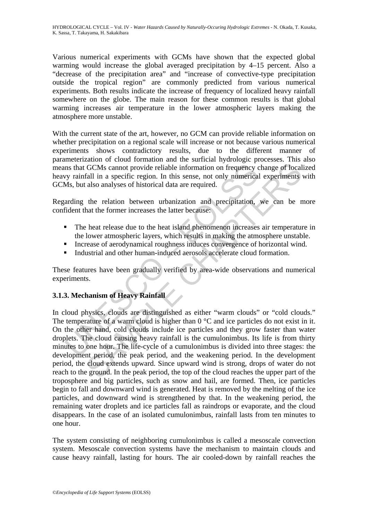Various numerical experiments with GCMs have shown that the expected global warming would increase the global averaged precipitation by 4–15 percent. Also a "decrease of the precipitation area" and "increase of convective-type precipitation outside the tropical region" are commonly predicted from various numerical experiments. Both results indicate the increase of frequency of localized heavy rainfall somewhere on the globe. The main reason for these common results is that global warming increases air temperature in the lower atmospheric layers making the atmosphere more unstable.

With the current state of the art, however, no GCM can provide reliable information on whether precipitation on a regional scale will increase or not because various numerical experiments shows contradictory results, due to the different manner of parameterization of cloud formation and the surficial hydrologic processes. This also means that GCMs cannot provide reliable information on frequency change of localized heavy rainfall in a specific region. In this sense, not only numerical experiments with GCMs, but also analyses of historical data are required.

Regarding the relation between urbanization and precipitation, we can be more confident that the former increases the latter because:

- The heat release due to the heat island phenomenon increases air temperature in the lower atmospheric layers, which results in making the atmosphere unstable.
- Increase of aerodynamical roughness induces convergence of horizontal wind.
- Industrial and other human-induced aerosols accelerate cloud formation.

These features have been gradually verified by area-wide observations and numerical experiments.

## **3.1.3. Mechanism of Heavy Rainfall**

In the GCMs cannot provide reliable information on frequency<br>vy rainfall in a specific region. In this sense, not only numerical<br>Ms, but also analyses of historical data are required.<br>arding the relation between urbanizat GCMs cannot provide reliable information on frequency change of local<br>atll in a specific region. In this sense, not only numerical experiments<br>also analyses of historical data are required.<br>the relation between urbanizati In cloud physics, clouds are distinguished as either "warm clouds" or "cold clouds." The temperature of a warm cloud is higher than  $0^{\circ}$ C and ice particles do not exist in it. On the other hand, cold clouds include ice particles and they grow faster than water droplets. The cloud causing heavy rainfall is the cumulonimbus. Its life is from thirty minutes to one hour. The life-cycle of a cumulonimbus is divided into three stages: the development period, the peak period, and the weakening period. In the development period, the cloud extends upward. Since upward wind is strong, drops of water do not reach to the ground. In the peak period, the top of the cloud reaches the upper part of the troposphere and big particles, such as snow and hail, are formed. Then, ice particles begin to fall and downward wind is generated. Heat is removed by the melting of the ice particles, and downward wind is strengthened by that. In the weakening period, the remaining water droplets and ice particles fall as raindrops or evaporate, and the cloud disappears. In the case of an isolated cumulonimbus, rainfall lasts from ten minutes to one hour.

The system consisting of neighboring cumulonimbus is called a mesoscale convection system. Mesoscale convection systems have the mechanism to maintain clouds and cause heavy rainfall, lasting for hours. The air cooled-down by rainfall reaches the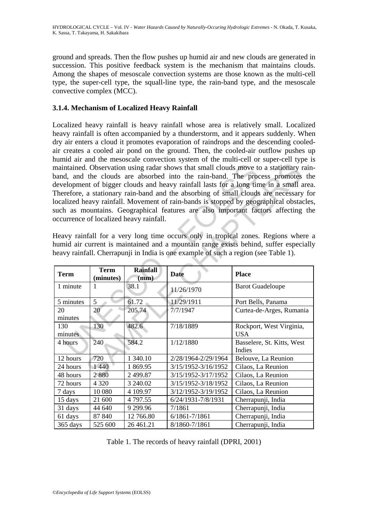ground and spreads. Then the flow pushes up humid air and new clouds are generated in succession. This positive feedback system is the mechanism that maintains clouds. Among the shapes of mesoscale convection systems are those known as the multi-cell type, the super-cell type, the squall-line type, the rain-band type, and the mesoscale convective complex (MCC).

## **3.1.4. Mechanism of Localized Heavy Rainfall**

Localized heavy rainfall is heavy rainfall whose area is relatively small. Localized heavy rainfall is often accompanied by a thunderstorm, and it appears suddenly. When dry air enters a cloud it promotes evaporation of raindrops and the descending cooledair creates a cooled air pond on the ground. Then, the cooled-air outflow pushes up humid air and the mesoscale convection system of the multi-cell or super-cell type is maintained. Observation using radar shows that small clouds move to a stationary rainband, and the clouds are absorbed into the rain-band. The process promotes the development of bigger clouds and heavy rainfall lasts for a long time in a small area. Therefore, a stationary rain-band and the absorbing of small clouds are necessary for localized heavy rainfall. Movement of rain-bands is stopped by geographical obstacles, such as mountains. Geographical features are also important factors affecting the occurrence of localized heavy rainfall.

| maintained. Observation using radar shows that small clouds move to a stationary rain-<br>band, and the clouds are absorbed into the rain-band. The process promotes the<br>development of bigger clouds and heavy rainfall lasts for a long time in a small area<br>Therefore, a stationary rain-band and the absorbing of small clouds are necessary for<br>localized heavy rainfall. Movement of rain-bands is stopped by geographical obstacles<br>such as mountains. Geographical features are also important factors affecting the<br>occurrence of localized heavy rainfall.<br>Heavy rainfall for a very long time occurs only in tropical zones. Regions where a<br>numid air current is maintained and a mountain range exists behind, suffer especially<br>neavy rainfall. Cherrapunji in India is one example of such a region (see Table 1). |                          |                         |                     |                                        |
|-----------------------------------------------------------------------------------------------------------------------------------------------------------------------------------------------------------------------------------------------------------------------------------------------------------------------------------------------------------------------------------------------------------------------------------------------------------------------------------------------------------------------------------------------------------------------------------------------------------------------------------------------------------------------------------------------------------------------------------------------------------------------------------------------------------------------------------------------------------|--------------------------|-------------------------|---------------------|----------------------------------------|
| <b>Term</b>                                                                                                                                                                                                                                                                                                                                                                                                                                                                                                                                                                                                                                                                                                                                                                                                                                               | <b>Term</b><br>(minutes) | <b>Rainfall</b><br>(mm) | <b>Date</b>         | <b>Place</b>                           |
| 1 minute                                                                                                                                                                                                                                                                                                                                                                                                                                                                                                                                                                                                                                                                                                                                                                                                                                                  | $\mathbf{1}$             | 38.1                    | 11/26/1970          | <b>Barot Guadeloupe</b>                |
| 5 minutes                                                                                                                                                                                                                                                                                                                                                                                                                                                                                                                                                                                                                                                                                                                                                                                                                                                 | $\overline{5}$           | 61.72                   | 11/29/1911          | Port Bells, Panama                     |
| 20<br>minutes                                                                                                                                                                                                                                                                                                                                                                                                                                                                                                                                                                                                                                                                                                                                                                                                                                             | 20                       | 205.74                  | 7/7/1947            | Curtea-de-Arges, Rumania               |
| 130<br>minutes                                                                                                                                                                                                                                                                                                                                                                                                                                                                                                                                                                                                                                                                                                                                                                                                                                            | 130                      | 482.6                   | 7/18/1889           | Rockport, West Virginia,<br><b>USA</b> |
| 4 hours                                                                                                                                                                                                                                                                                                                                                                                                                                                                                                                                                                                                                                                                                                                                                                                                                                                   | 240                      | 584.2                   | 1/12/1880           | Basselere, St. Kitts, West<br>Indies   |
| 12 hours                                                                                                                                                                                                                                                                                                                                                                                                                                                                                                                                                                                                                                                                                                                                                                                                                                                  | 720                      | 1 340.10                | 2/28/1964-2/29/1964 | Belouve, La Reunion                    |
| 24 hours                                                                                                                                                                                                                                                                                                                                                                                                                                                                                                                                                                                                                                                                                                                                                                                                                                                  | 1440                     | 1 869.95                | 3/15/1952-3/16/1952 | Cilaos, La Reunion                     |
| 48 hours                                                                                                                                                                                                                                                                                                                                                                                                                                                                                                                                                                                                                                                                                                                                                                                                                                                  | 2880                     | 2 499.87                | 3/15/1952-3/17/1952 | Cilaos, La Reunion                     |
| 72 hours                                                                                                                                                                                                                                                                                                                                                                                                                                                                                                                                                                                                                                                                                                                                                                                                                                                  | 4 3 2 0                  | 3 240.02                | 3/15/1952-3/18/1952 | Cilaos, La Reunion                     |
| 7 days                                                                                                                                                                                                                                                                                                                                                                                                                                                                                                                                                                                                                                                                                                                                                                                                                                                    | 10 080                   | 4 109.97                | 3/12/1952-3/19/1952 | Cilaos, La Reunion                     |
| 15 days                                                                                                                                                                                                                                                                                                                                                                                                                                                                                                                                                                                                                                                                                                                                                                                                                                                   | 21 600                   | 4 797.55                | 6/24/1931-7/8/1931  | Cherrapunji, India                     |
| 31 days                                                                                                                                                                                                                                                                                                                                                                                                                                                                                                                                                                                                                                                                                                                                                                                                                                                   | 44 640                   | 9 299.96                | 7/1861              | Cherrapunji, India                     |
| 61 days                                                                                                                                                                                                                                                                                                                                                                                                                                                                                                                                                                                                                                                                                                                                                                                                                                                   | 87 840                   | 12 766.80               | 6/1861-7/1861       | Cherrapunji, India                     |
| 365 days                                                                                                                                                                                                                                                                                                                                                                                                                                                                                                                                                                                                                                                                                                                                                                                                                                                  | 525 600                  | 26 461.21               | 8/1860-7/1861       | Cherrapunji, India                     |

Table 1. The records of heavy rainfall (DPRI, 2001)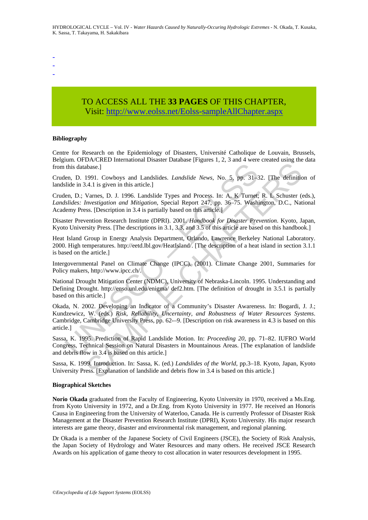-

- -

# TO ACCESS ALL THE **33 PAGES** OF THIS CHAPTER, Visit: [http://www.eolss.net/Eolss-sampleAllChapter.aspx](https://www.eolss.net/ebooklib/sc_cart.aspx?File=E2-02-08-07)

#### **Bibliography**

Centre for Research on the Epidemiology of Disasters, Université Catholique de Louvain, Brussels, Belgium. OFDA/CRED International Disaster Database [Figures 1, 2, 3 and 4 were created using the data from this database.]

Cruden, D. 1991. Cowboys and Landslides. *Landslide News*, No. 5, pp. 31–32. [The definition of landslide in 3.4.1 is given in this article.]

Cruden, D.; Varnes, D. J. 1996. Landslide Types and Process. In: A. K Turnet; R. L Schuster (eds.), *Landslides: Investigation and Mitigation*, Special Report 247, pp. 36–75. Washington, D.C., National Academy Press. [Description in 3.4 is partially based on this article.]

Disaster Prevention Research Institute (DPRI). 2001. *Handbook for Disaster Prevention*. Kyoto, Japan, Kyoto University Press. [The descriptions in 3.1, 3.3, and 3.5 of this article are based on this handbook.]

Heat Island Group in Energy Analysis Department, Orlando, Lawrence Berkeley National Laboratory. 2000. High temperatures. http://eetd.lbl.gov/HeatIsland/. [The description of a heat island in section 3.1.1 is based on the article.]

Intergovernmental Panel on Climate Change (IPCC). (2001). Climate Change 2001, Summaries for Policy makers, http://www.ipcc.ch/.

National Drought Mitigation Center (NDMC), University of Nebraska-Lincoln. 1995. Understanding and Defining Drought. http://enso.unl.edu/enigma/ def2.htm. [The definition of drought in 3.5.1 is partially based on this article.]

this database.]<br>
len, D. 1991. Cowboys and Landslides. *Landslide News*, No. 5, pp. 31-3<br>
ilde in 3.4.1 is given in this article.]<br> *Unitalisties: Invertigation and Mitigation,* Special Report 247, pp. 36-75. Washing<br> *U* Example 1.2 The definite of a Community's Disaster Avere Search Matematical abase.]<br>
1991. Cowboys and Landslides. *Landslide News*, No. 5, pp. 31–32. [The definite<br>
191. Cowboys and Landslide Types and Process. In: A, K T Okada, N. 2002. Developing an Indicator of a Community's Disaster Awareness. In: Bogardi, J. J.; Kundzewicz, W. (eds.) *Risk, Reliability, Uncertainty, and Robustness of Water Resources Systems*. Cambridge, Cambridge University Press, pp. 62-–9. [Description on risk awareness in 4.3 is based on this article.]

Sassa, K. 1995. Prediction of Rapid Landslide Motion. In: *Proceeding 20*, pp. 71–82. IUFRO World Congress, Technical Session on Natural Disasters in Mountainous Areas. [The explanation of landslide and debris flow in 3.4 is based on this article.]

Sassa, K. 1999. Introduction. In: Sassa, K. (ed.) *Landslides of the World*, pp.3–18. Kyoto, Japan, Kyoto University Press. [Explanation of landslide and debris flow in 3.4 is based on this article.]

#### **Biographical Sketches**

**Norio Okada** graduated from the Faculty of Engineering, Kyoto University in 1970, received a Ms.Eng. from Kyoto University in 1972, and a Dr.Eng. from Kyoto University in 1977. He received an Honoris Causa in Engineering from the University of Waterloo, Canada. He is currently Professor of Disaster Risk Management at the Disaster Prevention Research Institute (DPRI), Kyoto University. His major research interests are game theory, disaster and environmental risk management, and regional planning.

Dr Okada is a member of the Japanese Society of Civil Engineers (JSCE), the Society of Risk Analysis, the Japan Society of Hydrology and Water Resources and many others. He received JSCE Research Awards on his application of game theory to cost allocation in water resources development in 1995.